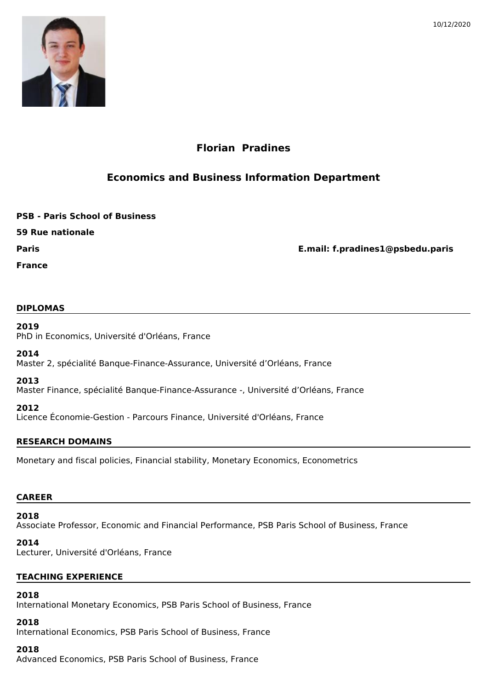



# **Florian Pradines**

## **Economics and Business Information Department**

**PSB - Paris School of Business**

**59 Rue nationale**

**Paris E.mail: f.pradines1@psbedu.paris**

**France**

### **DIPLOMAS**

### **2019**

PhD in Economics, Université d'Orléans, France

### **2014**

Master 2, spécialité Banque-Finance-Assurance, Université d'Orléans, France

### **2013**

Master Finance, spécialité Banque-Finance-Assurance -, Université d'Orléans, France

### **2012**

Licence Économie-Gestion - Parcours Finance, Université d'Orléans, France

### **RESEARCH DOMAINS**

Monetary and fiscal policies, Financial stability, Monetary Economics, Econometrics

### **CAREER**

# **2018**

Associate Professor, Economic and Financial Performance, PSB Paris School of Business, France

### **2014**

Lecturer, Université d'Orléans, France

### **TEACHING EXPERIENCE**

### **2018**

International Monetary Economics, PSB Paris School of Business, France

### **2018**

International Economics, PSB Paris School of Business, France

### **2018**

Advanced Economics, PSB Paris School of Business, France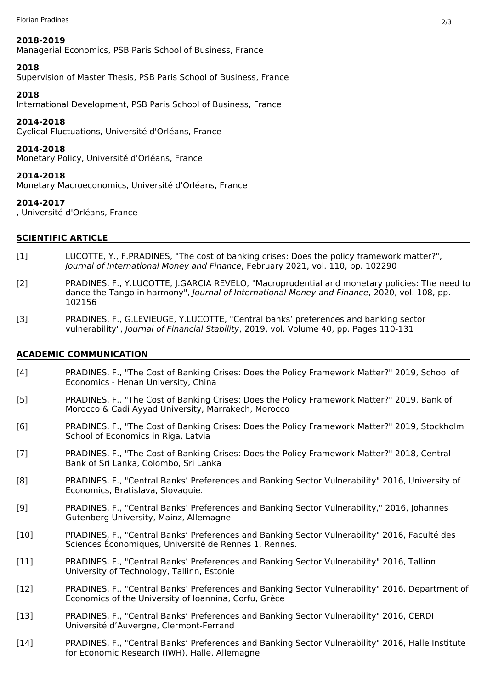#### **2018-2019**

Managerial Economics, PSB Paris School of Business, France

### **2018**

Supervision of Master Thesis, PSB Paris School of Business, France

### **2018**

International Development, PSB Paris School of Business, France

### **2014-2018**

Cyclical Fluctuations, Université d'Orléans, France

### **2014-2018**

Monetary Policy, Université d'Orléans, France

### **2014-2018**

Monetary Macroeconomics, Université d'Orléans, France

### **2014-2017**

, Université d'Orléans, France

### **SCIENTIFIC ARTICLE**

- LUCOTTE, Y., F.PRADINES, "The cost of banking crises: Does the policy framework matter?", *Journal of International Money and Finance*, February 2021, vol. 110, pp. 102290  $[1]$
- PRADINES, F., Y.LUCOTTE, J.GARCIA REVELO, "Macroprudential and monetary policies: The need to dance the Tango in harmony", *Journal of International Money and Finance*, 2020, vol. 108, pp. 102156 [2]
- PRADINES, F., G.LEVIEUGE, Y.LUCOTTE, "Central banks' preferences and banking sector vulnerability", *Journal of Financial Stability*, 2019, vol. Volume 40, pp. Pages 110-131 [3]

### **ACADEMIC COMMUNICATION**

- PRADINES, F., "The Cost of Banking Crises: Does the Policy Framework Matter?" 2019, School of Economics - Henan University, China  $[4]$
- PRADINES, F., "The Cost of Banking Crises: Does the Policy Framework Matter?" 2019, Bank of Morocco & Cadi Ayyad University, Marrakech, Morocco [5]
- PRADINES, F., "The Cost of Banking Crises: Does the Policy Framework Matter?" 2019, Stockholm School of Economics in Riga, Latvia [6]
- PRADINES, F., "The Cost of Banking Crises: Does the Policy Framework Matter?" 2018, Central Bank of Sri Lanka, Colombo, Sri Lanka [7]
- PRADINES, F., "Central Banks' Preferences and Banking Sector Vulnerability" 2016, University of Economics, Bratislava, Slovaquie. [8]
- PRADINES, F., "Central Banks' Preferences and Banking Sector Vulnerability," 2016, Johannes Gutenberg University, Mainz, Allemagne [9]
- PRADINES, F., "Central Banks' Preferences and Banking Sector Vulnerability" 2016, Faculté des Sciences Économiques, Université de Rennes 1, Rennes. [10]
- PRADINES, F., "Central Banks' Preferences and Banking Sector Vulnerability" 2016, Tallinn University of Technology, Tallinn, Estonie [11]
- PRADINES, F., "Central Banks' Preferences and Banking Sector Vulnerability" 2016, Department of Economics of the University of Ioannina, Corfu, Grèce [12]
- PRADINES, F., "Central Banks' Preferences and Banking Sector Vulnerability" 2016, CERDI Université d'Auvergne, Clermont-Ferrand [13]
- PRADINES, F., "Central Banks' Preferences and Banking Sector Vulnerability" 2016, Halle Institute for Economic Research (IWH), Halle, Allemagne [14]